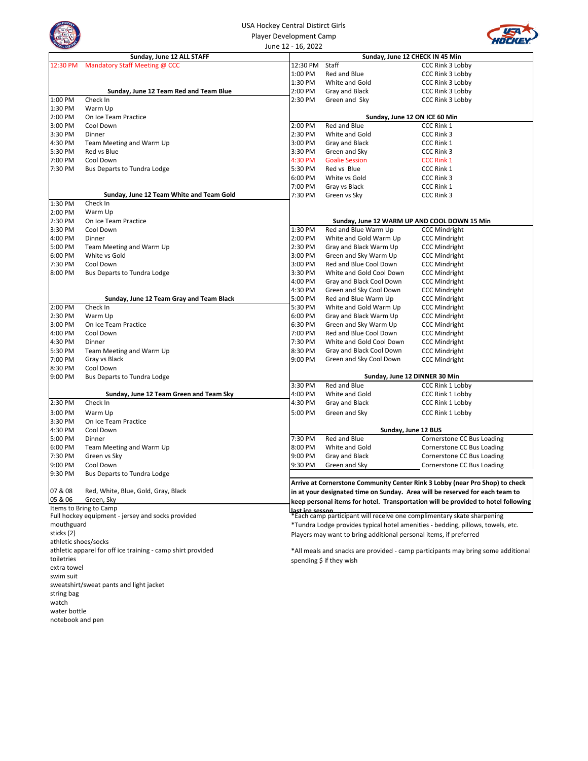

## USA Hockey Central Distirct Girls Player Development Camp June 12 - 16, 2022



| <b>MAL DISTRI</b>    |                                                             | June 12 - 16, 2022 |                                                                        |                                                                                   |
|----------------------|-------------------------------------------------------------|--------------------|------------------------------------------------------------------------|-----------------------------------------------------------------------------------|
|                      | Sunday, June 12 ALL STAFF                                   |                    | Sunday, June 12 CHECK IN 45 Min                                        |                                                                                   |
| 12:30 PM             | Mandatory Staff Meeting @ CCC                               | 12:30 PM           | Staff                                                                  | CCC Rink 3 Lobby                                                                  |
|                      |                                                             | 1:00 PM            | Red and Blue                                                           | <b>CCC Rink 3 Lobby</b>                                                           |
|                      |                                                             | 1:30 PM            | White and Gold                                                         | CCC Rink 3 Lobby                                                                  |
|                      | Sunday, June 12 Team Red and Team Blue                      | 2:00 PM            | Gray and Black                                                         | CCC Rink 3 Lobby                                                                  |
| 1:00 PM              | Check In                                                    | 2:30 PM            | Green and Sky                                                          | CCC Rink 3 Lobby                                                                  |
| 1:30 PM              | Warm Up                                                     |                    |                                                                        |                                                                                   |
| 2:00 PM              | On Ice Team Practice                                        |                    | Sunday, June 12 ON ICE 60 Min                                          |                                                                                   |
| 3:00 PM              | Cool Down                                                   | 2:00 PM            | Red and Blue                                                           | CCC Rink 1                                                                        |
| 3:30 PM              | Dinner                                                      | 2:30 PM            | White and Gold                                                         | CCC Rink 3                                                                        |
| 4:30 PM              | Team Meeting and Warm Up                                    | 3:00 PM            | Gray and Black                                                         | CCC Rink 1                                                                        |
| 5:30 PM              | Red vs Blue                                                 | 3:30 PM            | Green and Sky                                                          | CCC Rink 3                                                                        |
| 7:00 PM              | Cool Down                                                   | 4:30 PM            | <b>Goalie Session</b>                                                  | <b>CCC Rink 1</b>                                                                 |
| 7:30 PM              | Bus Departs to Tundra Lodge                                 | 5:30 PM            | Red vs Blue                                                            | CCC Rink 1                                                                        |
|                      |                                                             | 6:00 PM            | White vs Gold                                                          | CCC Rink 3                                                                        |
|                      |                                                             | 7:00 PM            | Gray vs Black                                                          | CCC Rink 1                                                                        |
|                      | Sunday, June 12 Team White and Team Gold                    | 7:30 PM            | Green vs Sky                                                           | CCC Rink 3                                                                        |
| 1:30 PM              | Check In                                                    |                    |                                                                        |                                                                                   |
| 2:00 PM              | Warm Up                                                     |                    |                                                                        |                                                                                   |
| 2:30 PM              | On Ice Team Practice                                        |                    | Sunday, June 12 WARM UP AND COOL DOWN 15 Min                           |                                                                                   |
| 3:30 PM              | Cool Down                                                   | 1:30 PM            | Red and Blue Warm Up                                                   | <b>CCC Mindright</b>                                                              |
| 4:00 PM              | Dinner                                                      | 2:00 PM            | White and Gold Warm Up                                                 | <b>CCC Mindright</b>                                                              |
| 5:00 PM              | Team Meeting and Warm Up                                    | 2:30 PM            | Gray and Black Warm Up                                                 | <b>CCC Mindright</b>                                                              |
| 6:00 PM              | White vs Gold                                               | 3:00 PM            | Green and Sky Warm Up                                                  | <b>CCC Mindright</b>                                                              |
| 7:30 PM              | Cool Down                                                   | 3:00 PM            | Red and Blue Cool Down                                                 | <b>CCC Mindright</b>                                                              |
| 8:00 PM              | Bus Departs to Tundra Lodge                                 | 3:30 PM            | White and Gold Cool Down                                               | <b>CCC Mindright</b>                                                              |
|                      |                                                             | 4:00 PM            | Gray and Black Cool Down                                               | <b>CCC Mindright</b>                                                              |
|                      |                                                             | 4:30 PM            | Green and Sky Cool Down                                                | <b>CCC Mindright</b>                                                              |
|                      | Sunday, June 12 Team Gray and Team Black                    | 5:00 PM            | Red and Blue Warm Up                                                   | <b>CCC Mindright</b>                                                              |
| 2:00 PM              | Check In                                                    | 5:30 PM            | White and Gold Warm Up                                                 | <b>CCC Mindright</b>                                                              |
| 2:30 PM              | Warm Up                                                     | 6:00 PM            | Gray and Black Warm Up                                                 | <b>CCC Mindright</b>                                                              |
| 3:00 PM              | On Ice Team Practice                                        | 6:30 PM            | Green and Sky Warm Up                                                  | <b>CCC Mindright</b>                                                              |
| 4:00 PM              | Cool Down                                                   | 7:00 PM            | Red and Blue Cool Down                                                 | <b>CCC Mindright</b>                                                              |
| 4:30 PM              | Dinner                                                      | 7:30 PM            | White and Gold Cool Down                                               | <b>CCC Mindright</b>                                                              |
| 5:30 PM              | Team Meeting and Warm Up                                    | 8:30 PM            | Gray and Black Cool Down                                               | <b>CCC Mindright</b>                                                              |
| 7:00 PM              | Gray vs Black                                               | 9:00 PM            | Green and Sky Cool Down                                                | <b>CCC Mindright</b>                                                              |
| 8:30 PM              | Cool Down                                                   |                    |                                                                        |                                                                                   |
| 9:00 PM              | Bus Departs to Tundra Lodge                                 |                    | Sunday, June 12 DINNER 30 Min                                          |                                                                                   |
|                      |                                                             | 3:30 PM            | Red and Blue                                                           | CCC Rink 1 Lobby                                                                  |
|                      | Sunday, June 12 Team Green and Team Sky                     | 4:00 PM            | White and Gold                                                         | CCC Rink 1 Lobby                                                                  |
| 2:30 PM              | Check In                                                    | 4:30 PM            | Gray and Black                                                         | CCC Rink 1 Lobby                                                                  |
| 3:00 PM              | Warm Up                                                     | 5:00 PM            | Green and Sky                                                          | CCC Rink 1 Lobby                                                                  |
| 3:30 PM              | On Ice Team Practice                                        |                    |                                                                        |                                                                                   |
| 4:30 PM              | Cool Down                                                   |                    | Sunday, June 12 BUS                                                    |                                                                                   |
| 5:00 PM              | Dinner                                                      | 7:30 PM            | Red and Blue                                                           | Cornerstone CC Bus Loading                                                        |
| 6:00 PM              | Team Meeting and Warm Up                                    | 8:00 PM            | White and Gold                                                         | Cornerstone CC Bus Loading                                                        |
| 7:30 PM              | Green vs Sky                                                | 9:00 PM            | Gray and Black                                                         | Cornerstone CC Bus Loading                                                        |
| 9:00 PM              | Cool Down                                                   | 9:30 PM            | Green and Sky                                                          | Cornerstone CC Bus Loading                                                        |
| 9:30 PM              | <b>Bus Departs to Tundra Lodge</b>                          |                    |                                                                        |                                                                                   |
|                      |                                                             |                    |                                                                        | Arrive at Cornerstone Community Center Rink 3 Lobby (near Pro Shop) to check      |
| 07 & 08              | Red, White, Blue, Gold, Gray, Black                         |                    |                                                                        | in at your designated time on Sunday. Area will be reserved for each team to      |
| 05 & 06              | Green, Sky<br>Items to Bring to Camp                        |                    |                                                                        | keep personal items for hotel. Transportation will be provided to hotel following |
|                      | Full hockey equipment - jersey and socks provided           | last ice sesson    | *Each camp participant will receive one complimentary skate sharpening |                                                                                   |
| mouthguard           |                                                             |                    |                                                                        | *Tundra Lodge provides typical hotel amenities - bedding, pillows, towels, etc.   |
| sticks (2)           |                                                             |                    |                                                                        |                                                                                   |
| athletic shoes/socks |                                                             |                    | Players may want to bring additional personal items, if preferred      |                                                                                   |
|                      | athletic apparel for off ice training - camp shirt provided |                    |                                                                        | *All meals and snacks are provided - camp participants may bring some additional  |
| toiletries           |                                                             |                    | spending $\frac{1}{2}$ if they wish                                    |                                                                                   |
| extra towel          |                                                             |                    |                                                                        |                                                                                   |
| swim suit            |                                                             |                    |                                                                        |                                                                                   |
|                      | sweatshirt/sweat pants and light jacket                     |                    |                                                                        |                                                                                   |
| string bag           |                                                             |                    |                                                                        |                                                                                   |
| watch                |                                                             |                    |                                                                        |                                                                                   |
| water bottle         |                                                             |                    |                                                                        |                                                                                   |
| notebook and pen     |                                                             |                    |                                                                        |                                                                                   |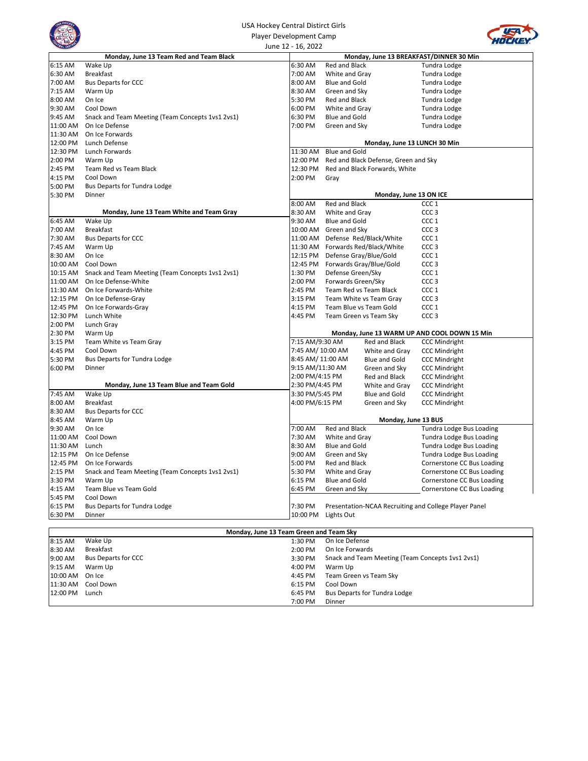| <b>USA Hockey Central Distirct Girls</b> |                    |                |                                  |
|------------------------------------------|--------------------|----------------|----------------------------------|
| Player Development Camp                  |                    |                |                                  |
|                                          | June 12 - 16, 2022 |                |                                  |
| <b>2 13 Team Red and Team Black</b>      |                    |                | Monday, June 13 BREAKFAST/DINNER |
|                                          | 6:30 AM            | Red and Black  | Tundra Lod                       |
|                                          | 7:00 AM            | White and Gray | Tundra Lod                       |
|                                          | $8:00$ AM          | Blue and Gold  | Tundra Lod                       |
|                                          | 8:30 AM            | Green and Sky  | Tundra Lod                       |
|                                          | 5:30 PM            | Red and Black  | Tundra Lod                       |
|                                          | 6:00 PM            | White and Gray | <b>Tundra Lod</b>                |
| eting (Team Concepts 1vs1 2vs1)          | 6:30 PM            | Blue and Gold  | Tundra Lod                       |
|                                          | 7:00 PM            | Green and Sky  | <b>Tundra Lod</b>                |
|                                          |                    |                |                                  |
|                                          |                    |                |                                  |



|                    | Monday, June 13 Team Red and Team Black          |                      |                      |                                                   | Monday, June 13 BREAKFAST/DINNER 30 Min               |
|--------------------|--------------------------------------------------|----------------------|----------------------|---------------------------------------------------|-------------------------------------------------------|
| 6:15 AM            | Wake Up                                          | 6:30 AM              | Red and Black        |                                                   | Tundra Lodge                                          |
| 6:30 AM            | <b>Breakfast</b>                                 | 7:00 AM              | White and Gray       |                                                   | Tundra Lodge                                          |
| 7:00 AM            | <b>Bus Departs for CCC</b>                       | 8:00 AM              | <b>Blue and Gold</b> |                                                   | Tundra Lodge                                          |
| 7:15 AM            | Warm Up                                          | 8:30 AM              | Green and Sky        |                                                   | Tundra Lodge                                          |
| 8:00 AM            | On Ice                                           | 5:30 PM              | Red and Black        |                                                   | Tundra Lodge                                          |
| 9:30 AM            | Cool Down                                        | 6:00 PM              | White and Gray       |                                                   | Tundra Lodge                                          |
| 9:45 AM            | Snack and Team Meeting (Team Concepts 1vs1 2vs1) | 6:30 PM              | <b>Blue and Gold</b> |                                                   | Tundra Lodge                                          |
| 11:00 AM           | On Ice Defense                                   | 7:00 PM              | Green and Sky        |                                                   | Tundra Lodge                                          |
| 11:30 AM           | On Ice Forwards                                  |                      |                      |                                                   |                                                       |
| 12:00 PM           | Lunch Defense                                    |                      |                      | Monday, June 13 LUNCH 30 Min                      |                                                       |
| 12:30 PM           | Lunch Forwards                                   | 11:30 AM             | <b>Blue and Gold</b> |                                                   |                                                       |
| 2:00 PM            | Warm Up                                          | 12:00 PM             |                      | Red and Black Defense, Green and Sky              |                                                       |
| 2:45 PM            | Team Red vs Team Black                           | 12:30 PM             |                      | Red and Black Forwards, White                     |                                                       |
| 4:15 PM            | Cool Down                                        | 2:00 PM              | Gray                 |                                                   |                                                       |
| 5:00 PM            | Bus Departs for Tundra Lodge                     |                      |                      |                                                   |                                                       |
| 5:30 PM            | Dinner                                           |                      |                      | Monday, June 13 ON ICE                            |                                                       |
|                    |                                                  | 8:00 AM              | Red and Black        |                                                   | CCC 1                                                 |
|                    | Monday, June 13 Team White and Team Gray         | 8:30 AM              | White and Gray       |                                                   | CCC <sub>3</sub>                                      |
| 6:45 AM            | Wake Up                                          | 9:30 AM              | <b>Blue and Gold</b> |                                                   | CCC <sub>1</sub>                                      |
| 7:00 AM            | <b>Breakfast</b>                                 | 10:00 AM             | Green and Sky        |                                                   | CCC <sub>3</sub>                                      |
| 7:30 AM            | <b>Bus Departs for CCC</b>                       | 11:00 AM             |                      | Defense Red/Black/White                           | CCC 1                                                 |
| 7:45 AM<br>8:30 AM | Warm Up<br>On Ice                                | 11:30 AM<br>12:15 PM |                      | Forwards Red/Black/White                          | CCC <sub>3</sub><br>CCC <sub>1</sub>                  |
| 10:00 AM           | Cool Down                                        | 12:45 PM             |                      | Defense Gray/Blue/Gold<br>Forwards Gray/Blue/Gold | CCC <sub>3</sub>                                      |
| 10:15 AM           | Snack and Team Meeting (Team Concepts 1vs1 2vs1) | 1:30 PM              | Defense Green/Sky    |                                                   | CCC 1                                                 |
| 11:00 AM           | On Ice Defense-White                             | 2:00 PM              | Forwards Green/Sky   |                                                   | CCC <sub>3</sub>                                      |
| 11:30 AM           | On Ice Forwards-White                            | 2:45 PM              |                      | Team Red vs Team Black                            | CCC 1                                                 |
| 12:15 PM           | On Ice Defense-Gray                              | 3:15 PM              |                      | Team White vs Team Gray                           | CCC <sub>3</sub>                                      |
| 12:45 PM           | On Ice Forwards-Gray                             | 4:15 PM              |                      | Team Blue vs Team Gold                            | CCC <sub>1</sub>                                      |
| 12:30 PM           | Lunch White                                      | 4:45 PM              |                      | Team Green vs Team Sky                            | CCC <sub>3</sub>                                      |
| 2:00 PM            | Lunch Gray                                       |                      |                      |                                                   |                                                       |
| 2:30 PM            | Warm Up                                          |                      |                      |                                                   | Monday, June 13 WARM UP AND COOL DOWN 15 Min          |
| 3:15 PM            | Team White vs Team Gray                          | 7:15 AM/9:30 AM      |                      | Red and Black                                     | <b>CCC Mindright</b>                                  |
| 4:45 PM            | Cool Down                                        | 7:45 AM/ 10:00 AM    |                      | White and Gray                                    | <b>CCC Mindright</b>                                  |
| 5:30 PM            | Bus Departs for Tundra Lodge                     | 8:45 AM/ 11:00 AM    |                      | Blue and Gold                                     | <b>CCC Mindright</b>                                  |
| 6:00 PM            | Dinner                                           | 9:15 AM/11:30 AM     |                      | Green and Sky                                     | <b>CCC Mindright</b>                                  |
|                    |                                                  | 2:00 PM/4:15 PM      |                      | Red and Black                                     | <b>CCC Mindright</b>                                  |
|                    | Monday, June 13 Team Blue and Team Gold          | 2:30 PM/4:45 PM      |                      | White and Gray                                    | <b>CCC Mindright</b>                                  |
| 7:45 AM            | Wake Up                                          | 3:30 PM/5:45 PM      |                      | Blue and Gold                                     | <b>CCC Mindright</b>                                  |
| 8:00 AM            | <b>Breakfast</b>                                 | 4:00 PM/6:15 PM      |                      | Green and Sky                                     | <b>CCC Mindright</b>                                  |
| 8:30 AM            | <b>Bus Departs for CCC</b>                       |                      |                      |                                                   |                                                       |
| 8:45 AM            | Warm Up                                          |                      |                      | Monday, June 13 BUS                               |                                                       |
| 9:30 AM            | On Ice                                           | 7:00 AM              | Red and Black        |                                                   | Tundra Lodge Bus Loading                              |
| 11:00 AM           | Cool Down                                        | 7:30 AM              | White and Gray       |                                                   | Tundra Lodge Bus Loading                              |
| 11:30 AM           | Lunch                                            | 8:30 AM              | <b>Blue and Gold</b> |                                                   | Tundra Lodge Bus Loading                              |
| 12:15 PM           | On Ice Defense                                   | 9:00 AM              | Green and Sky        |                                                   | Tundra Lodge Bus Loading                              |
| 12:45 PM           | On Ice Forwards                                  | 5:00 PM              | Red and Black        |                                                   | Cornerstone CC Bus Loading                            |
| 2:15 PM            | Snack and Team Meeting (Team Concepts 1vs1 2vs1) | 5:30 PM              | White and Gray       |                                                   | Cornerstone CC Bus Loading                            |
| 3:30 PM            | Warm Up                                          | 6:15 PM              | <b>Blue and Gold</b> |                                                   | Cornerstone CC Bus Loading                            |
| 4:15 AM            | Team Blue vs Team Gold                           | 6:45 PM              | Green and Sky        |                                                   | Cornerstone CC Bus Loading                            |
| 5:45 PM            | Cool Down                                        |                      |                      |                                                   |                                                       |
| 6:15 PM            | <b>Bus Departs for Tundra Lodge</b>              | 7:30 PM              |                      |                                                   | Presentation-NCAA Recruiting and College Player Panel |
| 6:30 PM            | Dinner                                           | 10:00 PM             | Lights Out           |                                                   |                                                       |
|                    | Monday, June 13 Team Green and Team Sky          |                      |                      |                                                   |                                                       |
| 8:15 AM            | Wake Up                                          | 1:30 PM              | On Ice Defense       |                                                   |                                                       |
| 8:30 AM            | <b>Breakfast</b>                                 | 2:00 PM              | On Ice Forwards      |                                                   |                                                       |
| 9:00 AM            | <b>Bus Departs for CCC</b>                       | 3:30 PM              |                      |                                                   | Snack and Team Meeting (Team Concepts 1vs1 2vs1)      |
| 9:15 AM            | Warm Up                                          | 4:00 PM              | Warm Up              |                                                   |                                                       |
| 10:00 AM           | On Ice                                           | 4:45 PM              |                      | Team Green vs Team Sky                            |                                                       |
| 11:30 AM           | Cool Down                                        | 6:15 PM              | Cool Down            |                                                   |                                                       |
| 12:00 PM           | Lunch                                            | 6:45 PM              |                      | <b>Bus Departs for Tundra Lodge</b>               |                                                       |

7:00 PM Dinner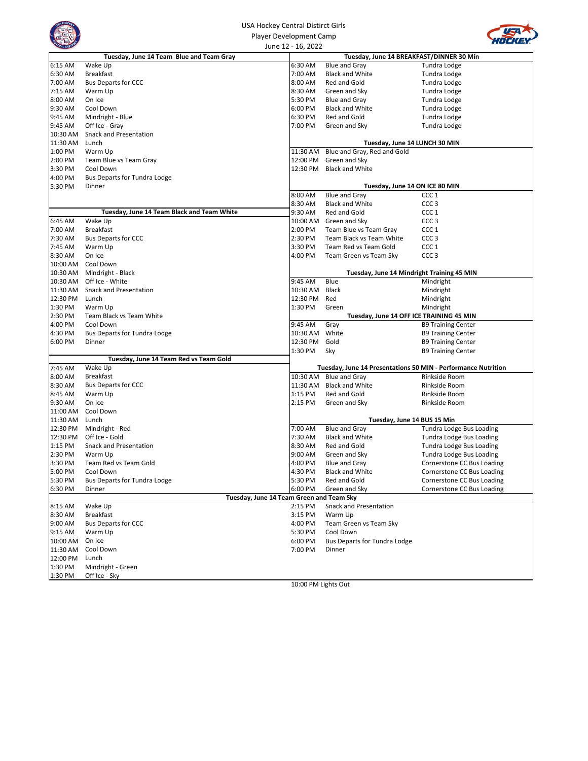|          |                                            | USA Hockey Central Distirct Girls        |                                     |                                                               |
|----------|--------------------------------------------|------------------------------------------|-------------------------------------|---------------------------------------------------------------|
|          | Player Development Camp                    |                                          |                                     |                                                               |
|          |                                            | June 12 - 16, 2022                       |                                     |                                                               |
|          | Tuesday, June 14 Team Blue and Team Gray   |                                          |                                     | Tuesday, June 14 BREAKFAST/DINNER 30 Min                      |
| 6:15 AM  | Wake Up                                    | 6:30 AM                                  | Blue and Gray                       | Tundra Lodge                                                  |
| 6:30 AM  | <b>Breakfast</b>                           | 7:00 AM                                  | <b>Black and White</b>              | Tundra Lodge                                                  |
| 7:00 AM  | <b>Bus Departs for CCC</b>                 | 8:00 AM                                  | Red and Gold                        | Tundra Lodge                                                  |
| 7:15 AM  | Warm Up                                    | 8:30 AM                                  | Green and Sky                       | Tundra Lodge                                                  |
| 8:00 AM  | On Ice                                     | 5:30 PM                                  | Blue and Gray                       | Tundra Lodge                                                  |
| 9:30 AM  | Cool Down                                  | 6:00 PM                                  | <b>Black and White</b>              | Tundra Lodge                                                  |
| 9:45 AM  | Mindright - Blue                           | 6:30 PM                                  | Red and Gold                        | Tundra Lodge                                                  |
| 9:45 AM  | Off Ice - Gray                             | 7:00 PM                                  | Green and Sky                       | Tundra Lodge                                                  |
| 10:30 AM | Snack and Presentation                     |                                          |                                     |                                                               |
| 11:30 AM | Lunch                                      |                                          |                                     | Tuesday, June 14 LUNCH 30 MIN                                 |
| 1:00 PM  | Warm Up                                    | 11:30 AM                                 | Blue and Gray, Red and Gold         |                                                               |
| 2:00 PM  | Team Blue vs Team Gray                     | 12:00 PM                                 | Green and Sky                       |                                                               |
| 3:30 PM  | Cool Down                                  | 12:30 PM                                 | <b>Black and White</b>              |                                                               |
| 4:00 PM  | Bus Departs for Tundra Lodge               |                                          |                                     |                                                               |
| 5:30 PM  | Dinner                                     |                                          |                                     | Tuesday, June 14 ON ICE 80 MIN                                |
|          |                                            | 8:00 AM                                  | <b>Blue and Gray</b>                | CCC 1                                                         |
|          |                                            | 8:30 AM                                  | <b>Black and White</b>              | CCC <sub>3</sub>                                              |
|          | Tuesday, June 14 Team Black and Team White | 9:30 AM                                  | Red and Gold                        | CCC <sub>1</sub>                                              |
| 6:45 AM  | Wake Up                                    | 10:00 AM                                 | Green and Sky                       | CCC <sub>3</sub>                                              |
| 7:00 AM  | <b>Breakfast</b>                           | 2:00 PM                                  | Team Blue vs Team Gray              | CCC <sub>1</sub>                                              |
| 7:30 AM  | <b>Bus Departs for CCC</b>                 | 2:30 PM                                  | Team Black vs Team White            | CCC <sub>3</sub>                                              |
| 7:45 AM  | Warm Up                                    | 3:30 PM                                  | Team Red vs Team Gold               | CCC <sub>1</sub>                                              |
| 8:30 AM  | On Ice                                     | 4:00 PM                                  | Team Green vs Team Sky              | CCC <sub>3</sub>                                              |
| 10:00 AM | Cool Down                                  |                                          |                                     |                                                               |
| 10:30 AM | Mindright - Black                          |                                          |                                     | Tuesday, June 14 Mindright Training 45 MIN                    |
| 10:30 AM | Off Ice - White                            | 9:45 AM                                  | Blue                                | Mindright                                                     |
| 11:30 AM | Snack and Presentation                     | 10:30 AM                                 | Black                               | Mindright                                                     |
| 12:30 PM | Lunch                                      | 12:30 PM                                 | Red                                 | Mindright                                                     |
| 1:30 PM  | Warm Up                                    | 1:30 PM                                  | Green                               | Mindright                                                     |
| 2:30 PM  | Team Black vs Team White                   |                                          |                                     | Tuesday, June 14 OFF ICE TRAINING 45 MIN                      |
| 4:00 PM  | Cool Down                                  | 9:45 AM                                  | Gray                                | <b>B9 Training Center</b>                                     |
| 4:30 PM  | Bus Departs for Tundra Lodge               | 10:30 AM                                 | White                               | <b>B9 Training Center</b>                                     |
| 6:00 PM  | Dinner                                     | 12:30 PM                                 | Gold                                | <b>B9 Training Center</b>                                     |
|          |                                            | 1:30 PM                                  | Sky                                 | <b>B9 Training Center</b>                                     |
|          | Tuesday, June 14 Team Red vs Team Gold     |                                          |                                     |                                                               |
| 7:45 AM  | Wake Up                                    |                                          |                                     | Tuesday, June 14 Presentations 50 MIN - Performance Nutrition |
| 8:00 AM  | <b>Breakfast</b>                           | 10:30 AM                                 | Blue and Gray                       | Rinkside Room                                                 |
| 8:30 AM  | <b>Bus Departs for CCC</b>                 | 11:30 AM                                 | <b>Black and White</b>              | Rinkside Room                                                 |
| 8:45 AM  | Warm Up                                    | 1:15 PM                                  | Red and Gold                        | Rinkside Room                                                 |
| 9:30 AM  | On Ice                                     | 2:15 PM                                  | Green and Sky                       | Rinkside Room                                                 |
| 11:00 AM | Cool Down                                  |                                          |                                     |                                                               |
| 11:30 AM | Lunch                                      |                                          |                                     | Tuesday, June 14 BUS 15 Min                                   |
| 12:30 PM | Mindright - Red                            | 7:00 AM                                  | <b>Blue and Gray</b>                | Tundra Lodge Bus Loading                                      |
| 12:30 PM | Off Ice - Gold                             | 7:30 AM                                  | <b>Black and White</b>              | Tundra Lodge Bus Loading                                      |
| 1:15 PM  | Snack and Presentation                     | 8:30 AM                                  | Red and Gold                        | Tundra Lodge Bus Loading                                      |
| 2:30 PM  | Warm Up                                    | 9:00 AM                                  | Green and Sky                       | Tundra Lodge Bus Loading                                      |
| 3:30 PM  | Team Red vs Team Gold                      | 4:00 PM                                  | Blue and Gray                       | Cornerstone CC Bus Loading                                    |
| 5:00 PM  | Cool Down                                  | 4:30 PM                                  | <b>Black and White</b>              | Cornerstone CC Bus Loading                                    |
| 5:30 PM  | <b>Bus Departs for Tundra Lodge</b>        | 5:30 PM                                  | Red and Gold                        | Cornerstone CC Bus Loading                                    |
| 6:30 PM  | Dinner                                     | 6:00 PM                                  | Green and Sky                       | Cornerstone CC Bus Loading                                    |
|          |                                            | Tuesday, June 14 Team Green and Team Sky |                                     |                                                               |
| 8:15 AM  | Wake Up                                    | 2:15 PM                                  | Snack and Presentation              |                                                               |
| 8:30 AM  | <b>Breakfast</b>                           | 3:15 PM                                  | Warm Up                             |                                                               |
| 9:00 AM  | <b>Bus Departs for CCC</b>                 | 4:00 PM                                  | Team Green vs Team Sky              |                                                               |
| 9:15 AM  | Warm Up                                    | 5:30 PM                                  | Cool Down                           |                                                               |
| 10:00 AM | On Ice                                     | 6:00 PM                                  | <b>Bus Departs for Tundra Lodge</b> |                                                               |
| 11:30 AM | Cool Down                                  | 7:00 PM                                  | Dinner                              |                                                               |
| 12:00 PM | Lunch                                      |                                          |                                     |                                                               |
| 1:30 PM  | Mindright - Green                          |                                          |                                     |                                                               |
| 1:30 PM  | Off Ice - Sky                              |                                          |                                     |                                                               |
|          |                                            | 10:00 PM Lights Out                      |                                     |                                                               |

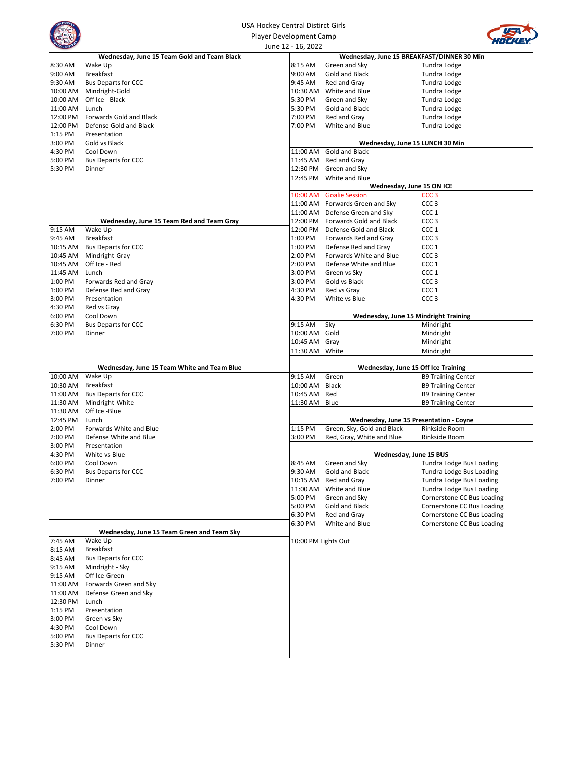|                      | USA Hockey Central Distirct Girls              |                      |                                                          |                                                        |
|----------------------|------------------------------------------------|----------------------|----------------------------------------------------------|--------------------------------------------------------|
|                      | <b>Player Development Camp</b>                 |                      |                                                          |                                                        |
|                      |                                                | June 12 - 16, 2022   |                                                          |                                                        |
|                      | Wednesday, June 15 Team Gold and Team Black    |                      | Wednesday, June 15 BREAKFAST/DINNER 30 Min               |                                                        |
| 8:30 AM              | Wake Up                                        | 8:15 AM              | Green and Sky                                            | Tundra Lodge                                           |
| 9:00 AM              | <b>Breakfast</b>                               | 9:00 AM              | Gold and Black                                           | Tundra Lodge                                           |
| 9:30 AM              | <b>Bus Departs for CCC</b>                     | 9:45 AM              | Red and Gray                                             | Tundra Lodge                                           |
| 10:00 AM             | Mindright-Gold                                 | 10:30 AM             | White and Blue                                           | Tundra Lodge                                           |
| 10:00 AM<br>11:00 AM | Off Ice - Black<br>Lunch                       | 5:30 PM<br>5:30 PM   | Green and Sky<br>Gold and Black                          | Tundra Lodge                                           |
| 12:00 PM             | Forwards Gold and Black                        | 7:00 PM              | Red and Gray                                             | Tundra Lodge<br>Tundra Lodge                           |
| 12:00 PM             | Defense Gold and Black                         | 7:00 PM              | White and Blue                                           | Tundra Lodge                                           |
| 1:15 PM              | Presentation                                   |                      |                                                          |                                                        |
| 3:00 PM              | Gold vs Black                                  |                      | Wednesday, June 15 LUNCH 30 Min                          |                                                        |
| 4:30 PM              | Cool Down                                      | 11:00 AM             | Gold and Black                                           |                                                        |
| 5:00 PM              | <b>Bus Departs for CCC</b>                     | 11:45 AM             | Red and Gray                                             |                                                        |
| 5:30 PM              | Dinner                                         | 12:30 PM             | Green and Sky                                            |                                                        |
|                      |                                                | 12:45 PM             | White and Blue                                           |                                                        |
|                      |                                                |                      | Wednesday, June 15 ON ICE                                |                                                        |
|                      |                                                | 10:00 AM             | <b>Goalie Session</b><br>11:00 AM Forwards Green and Sky | CCC <sub>3</sub><br>CCC <sub>3</sub>                   |
|                      |                                                |                      | 11:00 AM Defense Green and Sky                           | CCC <sub>1</sub>                                       |
|                      | Wednesday, June 15 Team Red and Team Gray      |                      | 12:00 PM Forwards Gold and Black                         | CCC <sub>3</sub>                                       |
| 9:15 AM              | Wake Up                                        | 12:00 PM             | Defense Gold and Black                                   | CCC <sub>1</sub>                                       |
| 9:45 AM              | <b>Breakfast</b>                               | 1:00 PM              | Forwards Red and Gray                                    | CCC <sub>3</sub>                                       |
| 10:15 AM             | <b>Bus Departs for CCC</b>                     | 1:00 PM              | Defense Red and Gray                                     | CCC <sub>1</sub>                                       |
| 10:45 AM             | Mindright-Gray                                 | 2:00 PM              | Forwards White and Blue                                  | CCC <sub>3</sub>                                       |
| 10:45 AM             | Off Ice - Red                                  | 2:00 PM              | Defense White and Blue                                   | CCC <sub>1</sub>                                       |
| 11:45 AM             | Lunch                                          | 3:00 PM              | Green vs Sky                                             | CCC <sub>1</sub>                                       |
| 1:00 PM              | Forwards Red and Gray                          | 3:00 PM              | Gold vs Black                                            | CCC <sub>3</sub>                                       |
| 1:00 PM              | Defense Red and Gray                           | 4:30 PM              | Red vs Gray                                              | CCC <sub>1</sub>                                       |
| 3:00 PM              | Presentation                                   | 4:30 PM              | White vs Blue                                            | CCC <sub>3</sub>                                       |
| 4:30 PM<br>6:00 PM   | Red vs Gray<br>Cool Down                       |                      | Wednesday, June 15 Mindright Training                    |                                                        |
| 6:30 PM              | <b>Bus Departs for CCC</b>                     | 9:15 AM              | Sky                                                      | Mindright                                              |
| 7:00 PM              | Dinner                                         | 10:00 AM             | Gold                                                     | Mindright                                              |
|                      |                                                | 10:45 AM             | Gray                                                     | Mindright                                              |
|                      |                                                | 11:30 AM White       |                                                          | Mindright                                              |
|                      |                                                |                      |                                                          |                                                        |
|                      | Wednesday, June 15 Team White and Team Blue    |                      | Wednesday, June 15 Off Ice Training                      |                                                        |
| 10:00 AM             | Wake Up                                        | 9:15 AM              | Green                                                    | <b>B9 Training Center</b>                              |
| 10:30 AM<br>11:00 AM | <b>Breakfast</b><br><b>Bus Departs for CCC</b> | 10:00 AM<br>10:45 AM | Black<br>Red                                             | <b>B9 Training Center</b>                              |
| 11:30 AM             | Mindright-White                                | 11:30 AM             | Blue                                                     | <b>B9 Training Center</b><br><b>B9 Training Center</b> |
| 11:30 AM             | Off Ice -Blue                                  |                      |                                                          |                                                        |
| 12:45 PM             | Lunch                                          |                      | Wednesday, June 15 Presentation - Coyne                  |                                                        |
| 2:00 PM              | Forwards White and Blue                        | 1:15 PM              | Green, Sky, Gold and Black                               | Rinkside Room                                          |
| 2:00 PM              | Defense White and Blue                         | 3:00 PM              | Red, Gray, White and Blue                                | Rinkside Room                                          |
| 3:00 PM              | Presentation                                   |                      |                                                          |                                                        |
| 4:30 PM              | White vs Blue                                  |                      | Wednesday, June 15 BUS                                   |                                                        |
| 6:00 PM              | Cool Down                                      | 8:45 AM              | Green and Sky                                            | Tundra Lodge Bus Loading                               |
| 6:30 PM              | <b>Bus Departs for CCC</b>                     | 9:30 AM              | Gold and Black                                           | Tundra Lodge Bus Loading                               |
| 7:00 PM              | Dinner                                         | 10:15 AM<br>11:00 AM | Red and Gray<br>White and Blue                           | Tundra Lodge Bus Loading                               |
|                      |                                                | 5:00 PM              | Green and Sky                                            | Tundra Lodge Bus Loading<br>Cornerstone CC Bus Loading |
|                      |                                                | 5:00 PM              | Gold and Black                                           | Cornerstone CC Bus Loading                             |
|                      |                                                | 6:30 PM              | Red and Gray                                             | Cornerstone CC Bus Loading                             |
|                      |                                                | 6:30 PM              | White and Blue                                           | Cornerstone CC Bus Loading                             |
|                      | Wednesday, June 15 Team Green and Team Sky     |                      |                                                          |                                                        |
| 7:45 AM              | Wake Up                                        | 10:00 PM Lights Out  |                                                          |                                                        |
| 8:15 AM              | <b>Breakfast</b>                               |                      |                                                          |                                                        |
| 8:45 AM              | <b>Bus Departs for CCC</b>                     |                      |                                                          |                                                        |
| 9:15 AM              | Mindright - Sky                                |                      |                                                          |                                                        |
| 9:15 AM              | Off Ice-Green                                  |                      |                                                          |                                                        |
| 11:00 AM             | Forwards Green and Sky                         |                      |                                                          |                                                        |
| 11:00 AM<br>12:30 PM | Defense Green and Sky<br>Lunch                 |                      |                                                          |                                                        |
| 1:15 PM              | Presentation                                   |                      |                                                          |                                                        |
| 3:00 PM              | Green vs Sky                                   |                      |                                                          |                                                        |
| 4:30 PM              | Cool Down                                      |                      |                                                          |                                                        |
| 5:00 PM              | <b>Bus Departs for CCC</b>                     |                      |                                                          |                                                        |
| 5:30 PM              | Dinner                                         |                      |                                                          |                                                        |
|                      |                                                |                      |                                                          |                                                        |

 $\mathbf{I}$